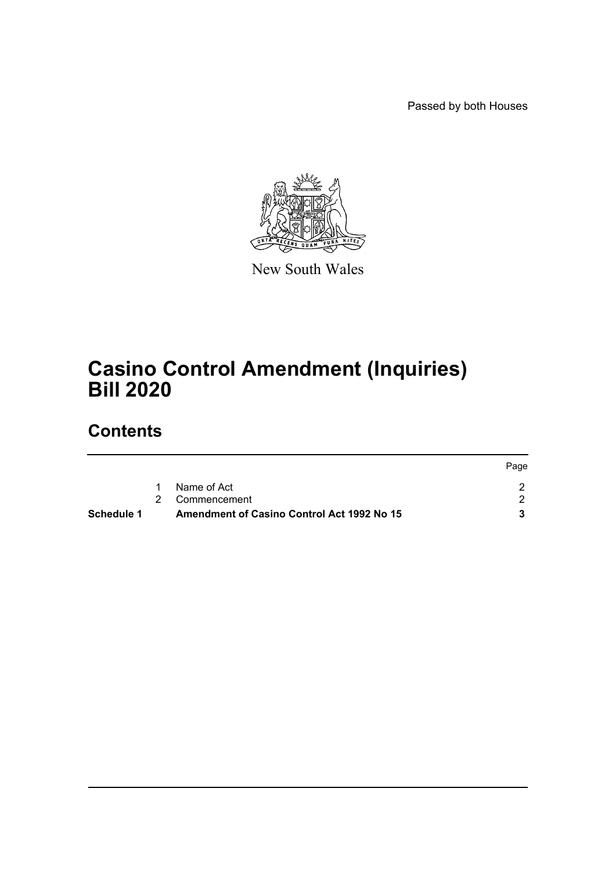Passed by both Houses



New South Wales

# **Casino Control Amendment (Inquiries) Bill 2020**

## **Contents**

|            |                                                   | Page |
|------------|---------------------------------------------------|------|
|            | Name of Act                                       |      |
|            | 2 Commencement                                    |      |
| Schedule 1 | <b>Amendment of Casino Control Act 1992 No 15</b> |      |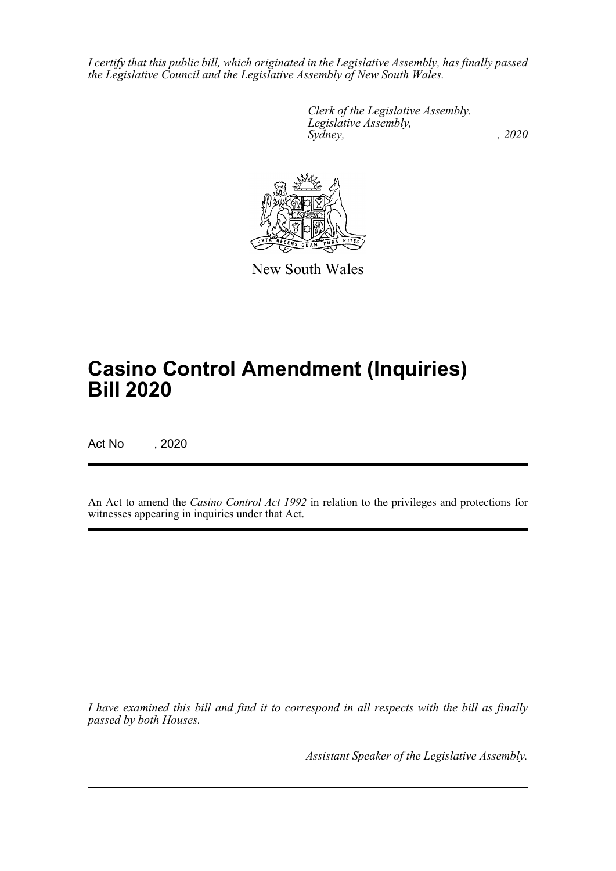*I certify that this public bill, which originated in the Legislative Assembly, has finally passed the Legislative Council and the Legislative Assembly of New South Wales.*

> *Clerk of the Legislative Assembly. Legislative Assembly, Sydney, , 2020*



New South Wales

# **Casino Control Amendment (Inquiries) Bill 2020**

Act No , 2020

An Act to amend the *Casino Control Act 1992* in relation to the privileges and protections for witnesses appearing in inquiries under that Act.

*I have examined this bill and find it to correspond in all respects with the bill as finally passed by both Houses.*

*Assistant Speaker of the Legislative Assembly.*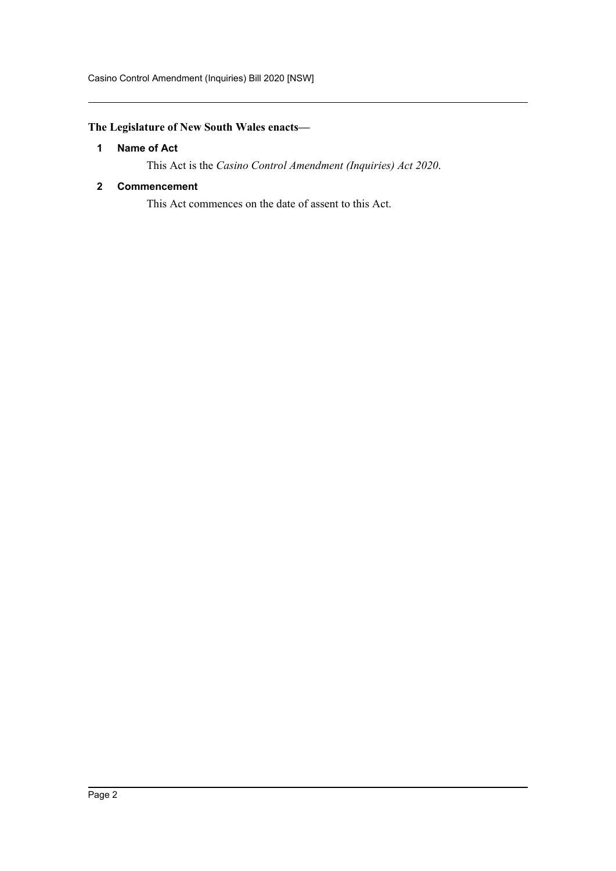### <span id="page-2-0"></span>**The Legislature of New South Wales enacts—**

### **1 Name of Act**

This Act is the *Casino Control Amendment (Inquiries) Act 2020*.

### <span id="page-2-1"></span>**2 Commencement**

This Act commences on the date of assent to this Act.